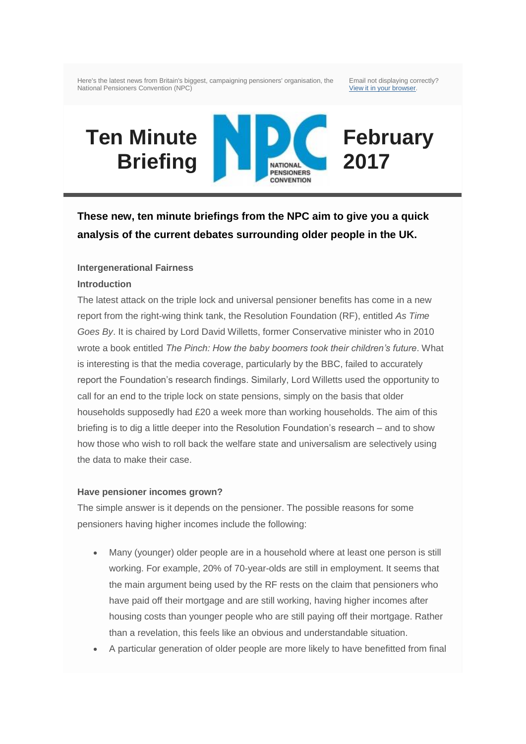Here's the latest news from Britain's biggest, campaigning pensioners' organisation, the National Pensioners Convention (NPC)

Email not displaying correctly? [View it in your browser.](http://us3.campaign-archive1.com/?u=d507a15865828a61fb0dcf802&id=0f03009e57&e=)

**February** 

**2017**

# **Ten Minute Briefing**

NATIONAL **PENSIONERS CONVENTION** 

**These new, ten minute briefings from the NPC aim to give you a quick analysis of the current debates surrounding older people in the UK.** 

## **Intergenerational Fairness**

## **Introduction**

The latest attack on the triple lock and universal pensioner benefits has come in a new report from the right-wing think tank, the Resolution Foundation (RF), entitled *As Time Goes By*. It is chaired by Lord David Willetts, former Conservative minister who in 2010 wrote a book entitled *The Pinch: How the baby boomers took their children's future*. What is interesting is that the media coverage, particularly by the BBC, failed to accurately report the Foundation's research findings. Similarly, Lord Willetts used the opportunity to call for an end to the triple lock on state pensions, simply on the basis that older households supposedly had £20 a week more than working households. The aim of this briefing is to dig a little deeper into the Resolution Foundation's research – and to show how those who wish to roll back the welfare state and universalism are selectively using the data to make their case.

#### **Have pensioner incomes grown?**

The simple answer is it depends on the pensioner. The possible reasons for some pensioners having higher incomes include the following:

- Many (younger) older people are in a household where at least one person is still working. For example, 20% of 70-year-olds are still in employment. It seems that the main argument being used by the RF rests on the claim that pensioners who have paid off their mortgage and are still working, having higher incomes after housing costs than younger people who are still paying off their mortgage. Rather than a revelation, this feels like an obvious and understandable situation.
- A particular generation of older people are more likely to have benefitted from final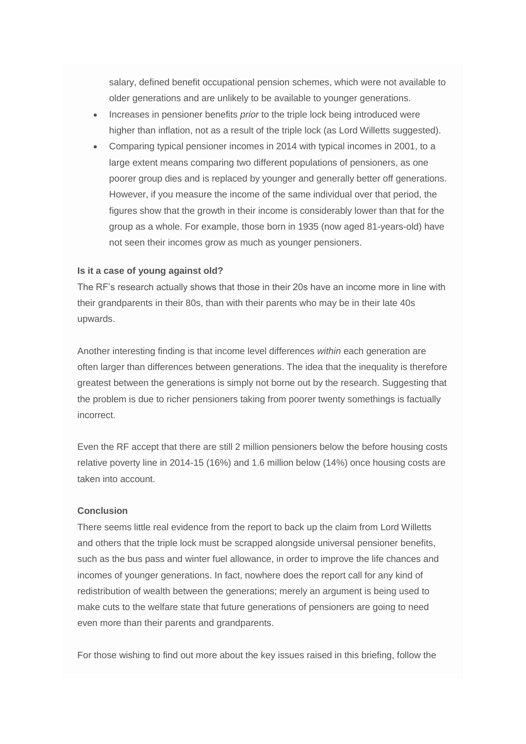salary, defined benefit occupational pension schemes, which were not available to older generations and are unlikely to be available to younger generations.

- Increases in pensioner benefits *prior* to the triple lock being introduced were higher than inflation, not as a result of the triple lock (as Lord Willetts suggested).
- Comparing typical pensioner incomes in 2014 with typical incomes in 2001, to a large extent means comparing two different populations of pensioners, as one poorer group dies and is replaced by younger and generally better off generations. However, if you measure the income of the same individual over that period, the figures show that the growth in their income is considerably lower than that for the group as a whole. For example, those born in 1935 (now aged 81-years-old) have not seen their incomes grow as much as younger pensioners.

## **Is it a case of young against old?**

The RF's research actually shows that those in their 20s have an income more in line with their grandparents in their 80s, than with their parents who may be in their late 40s upwards.

Another interesting finding is that income level differences *within* each generation are often larger than differences between generations. The idea that the inequality is therefore greatest between the generations is simply not borne out by the research. Suggesting that the problem is due to richer pensioners taking from poorer twenty somethings is factually incorrect.

Even the RF accept that there are still 2 million pensioners below the before housing costs relative poverty line in 2014-15 (16%) and 1.6 million below (14%) once housing costs are taken into account.

#### **Conclusion**

There seems little real evidence from the report to back up the claim from Lord Willetts and others that the triple lock must be scrapped alongside universal pensioner benefits, such as the bus pass and winter fuel allowance, in order to improve the life chances and incomes of younger generations. In fact, nowhere does the report call for any kind of redistribution of wealth between the generations; merely an argument is being used to make cuts to the welfare state that future generations of pensioners are going to need even more than their parents and grandparents.

For those wishing to find out more about the key issues raised in this briefing, follow the